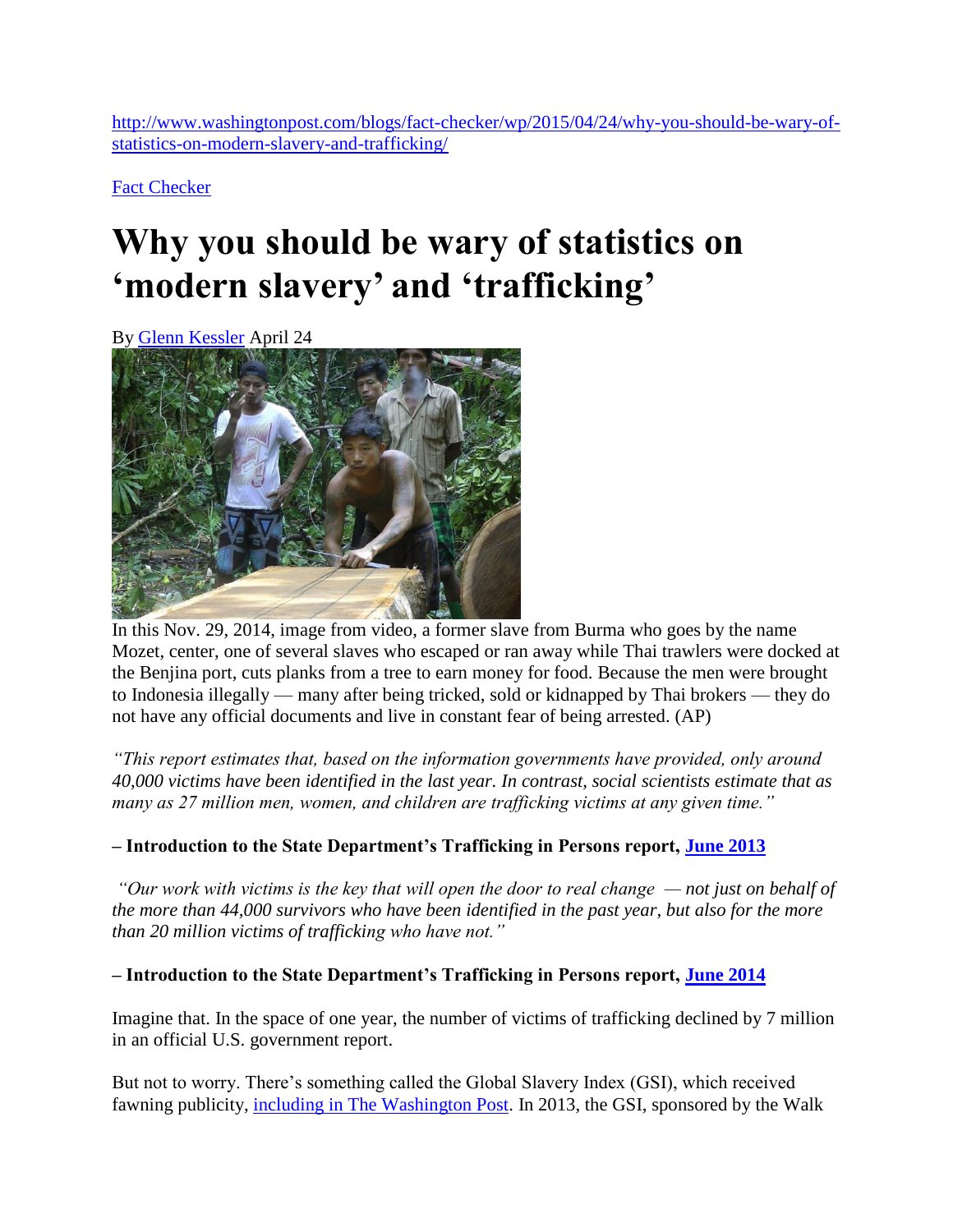[http://www.washingtonpost.com/blogs/fact-checker/wp/2015/04/24/why-you-should-be-wary-of](http://www.washingtonpost.com/blogs/fact-checker/wp/2015/04/24/why-you-should-be-wary-of-statistics-on-modern-slavery-and-trafficking/)[statistics-on-modern-slavery-and-trafficking/](http://www.washingtonpost.com/blogs/fact-checker/wp/2015/04/24/why-you-should-be-wary-of-statistics-on-modern-slavery-and-trafficking/)

[Fact Checker](http://www.washingtonpost.com/blogs/fact-checker)

# **Why you should be wary of statistics on 'modern slavery' and 'trafficking'**

By [Glenn Kessler](http://www.washingtonpost.com/people/glenn-kessler) April 24



In this Nov. 29, 2014, image from video, a former slave from Burma who goes by the name Mozet, center, one of several slaves who escaped or ran away while Thai trawlers were docked at the Benjina port, cuts planks from a tree to earn money for food. Because the men were brought to Indonesia illegally — many after being tricked, sold or kidnapped by Thai brokers — they do not have any official documents and live in constant fear of being arrested. (AP)

*"This report estimates that, based on the information governments have provided, only around 40,000 victims have been identified in the last year. In contrast, social scientists estimate that as many as 27 million men, women, and children are trafficking victims at any given time."*

#### **– Introduction to the State Department's Trafficking in Persons report, [June 2013](http://www.state.gov/documents/organization/210737.pdf)**

*"Our work with victims is the key that will open the door to real change — not just on behalf of the more than 44,000 survivors who have been identified in the past year, but also for the more than 20 million victims of trafficking who have not."*

#### **– Introduction to the State Department's Trafficking in Persons report, [June 2014](http://www.state.gov/documents/organization/226844.pdf)**

Imagine that. In the space of one year, the number of victims of trafficking declined by 7 million in an official U.S. government report.

But not to worry. There's something called the Global Slavery Index (GSI), which received fawning publicity, [including in The Washington Post.](http://www.washingtonpost.com/blogs/worldviews/wp/2014/11/18/map-the-worlds-36-million-slaves/) In 2013, the GSI, sponsored by the Walk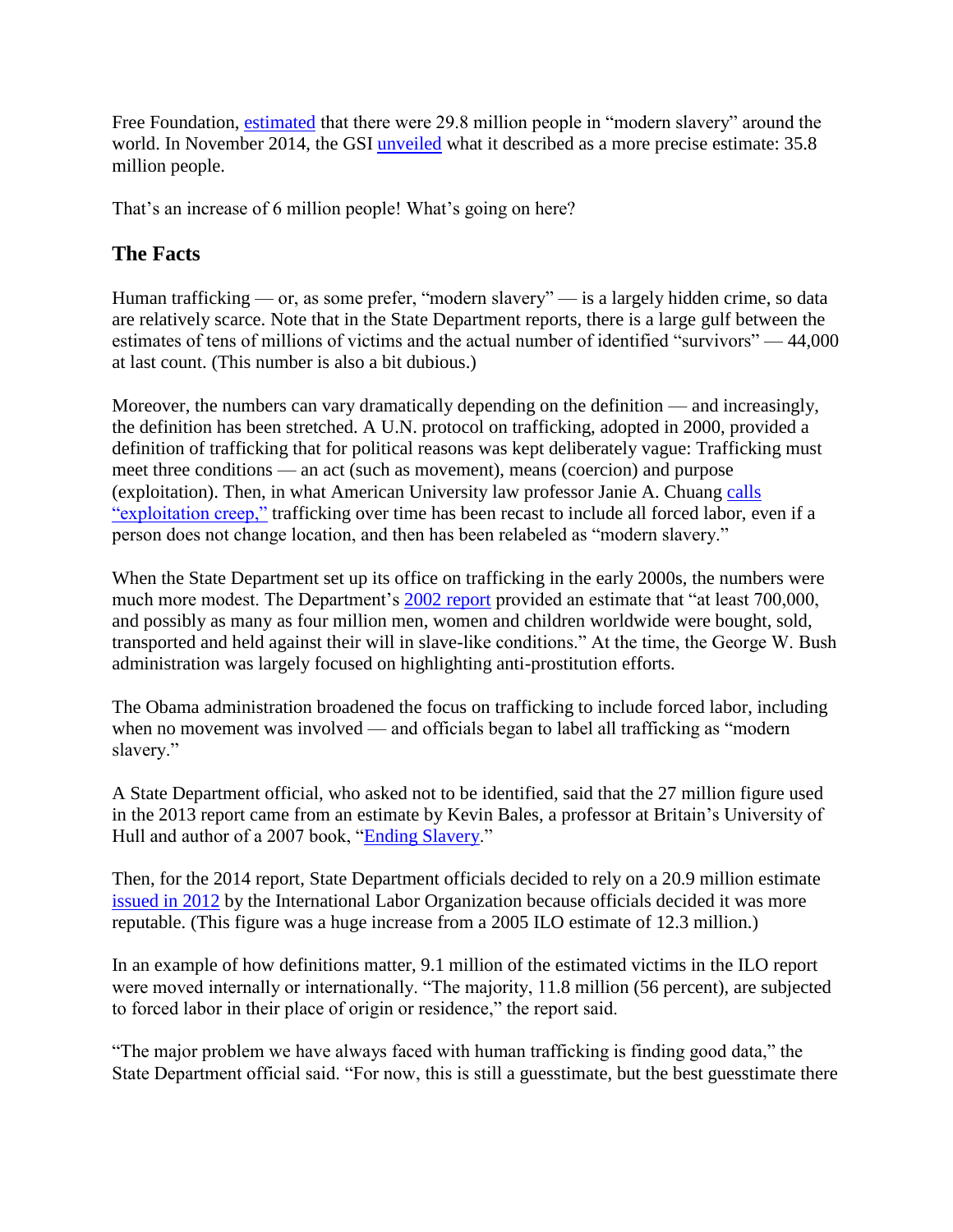Free Foundation, [estimated](http://www.ungift.org/doc/knowledgehub/resource-centre/2013/GlobalSlaveryIndex_2013_Download_WEB1.pdf) that there were 29.8 million people in "modern slavery" around the world. In November 2014, the GSI [unveiled](http://www.globalslaveryindex.org/findings/) what it described as a more precise estimate: 35.8 million people.

That's an increase of 6 million people! What's going on here?

## **The Facts**

Human trafficking — or, as some prefer, "modern slavery" — is a largely hidden crime, so data are relatively scarce. Note that in the State Department reports, there is a large gulf between the estimates of tens of millions of victims and the actual number of identified "survivors" — 44,000 at last count. (This number is also a bit dubious.)

Moreover, the numbers can vary dramatically depending on the definition — and increasingly, the definition has been stretched. A U.N. protocol on trafficking, adopted in 2000, provided a definition of trafficking that for political reasons was kept deliberately vague: Trafficking must meet three conditions — an act (such as movement), means (coercion) and purpose (exploitation). Then, in what American University law professor Janie A. Chuang [calls](http://www.jstor.org/stable/10.5305/amerjintelaw.108.4.0609)  ["exploitation creep,"](http://www.jstor.org/stable/10.5305/amerjintelaw.108.4.0609) trafficking over time has been recast to include all forced labor, even if a person does not change location, and then has been relabeled as "modern slavery."

When the State Department set up its office on trafficking in the early 2000s, the numbers were much more modest. The Department's [2002 report](http://www.state.gov/documents/organization/10815.pdf) provided an estimate that "at least 700,000, and possibly as many as four million men, women and children worldwide were bought, sold, transported and held against their will in slave-like conditions." At the time, the George W. Bush administration was largely focused on highlighting anti-prostitution efforts.

The Obama administration broadened the focus on trafficking to include forced labor, including when no movement was involved — and officials began to label all trafficking as "modern" slavery."

A State Department official, who asked not to be identified, said that the 27 million figure used in the 2013 report came from an estimate by Kevin Bales, a professor at Britain's University of Hull and author of a 2007 book, ["Ending Slavery.](http://www.amazon.com/gp/product/0520257960?ie=UTF8&camp=1789&creativeASIN=0520257960&linkCode=xm2&tag=thewaspos09-20)"

Then, for the 2014 report, State Department officials decided to rely on a 20.9 million estimate [issued in 2012](http://www.ilo.org/wcmsp5/groups/public/---ed_norm/---declaration/documents/publication/wcms_182004.pdf) by the International Labor Organization because officials decided it was more reputable. (This figure was a huge increase from a 2005 ILO estimate of 12.3 million.)

In an example of how definitions matter, 9.1 million of the estimated victims in the ILO report were moved internally or internationally. "The majority, 11.8 million (56 percent), are subjected to forced labor in their place of origin or residence," the report said.

"The major problem we have always faced with human trafficking is finding good data," the State Department official said. "For now, this is still a guesstimate, but the best guesstimate there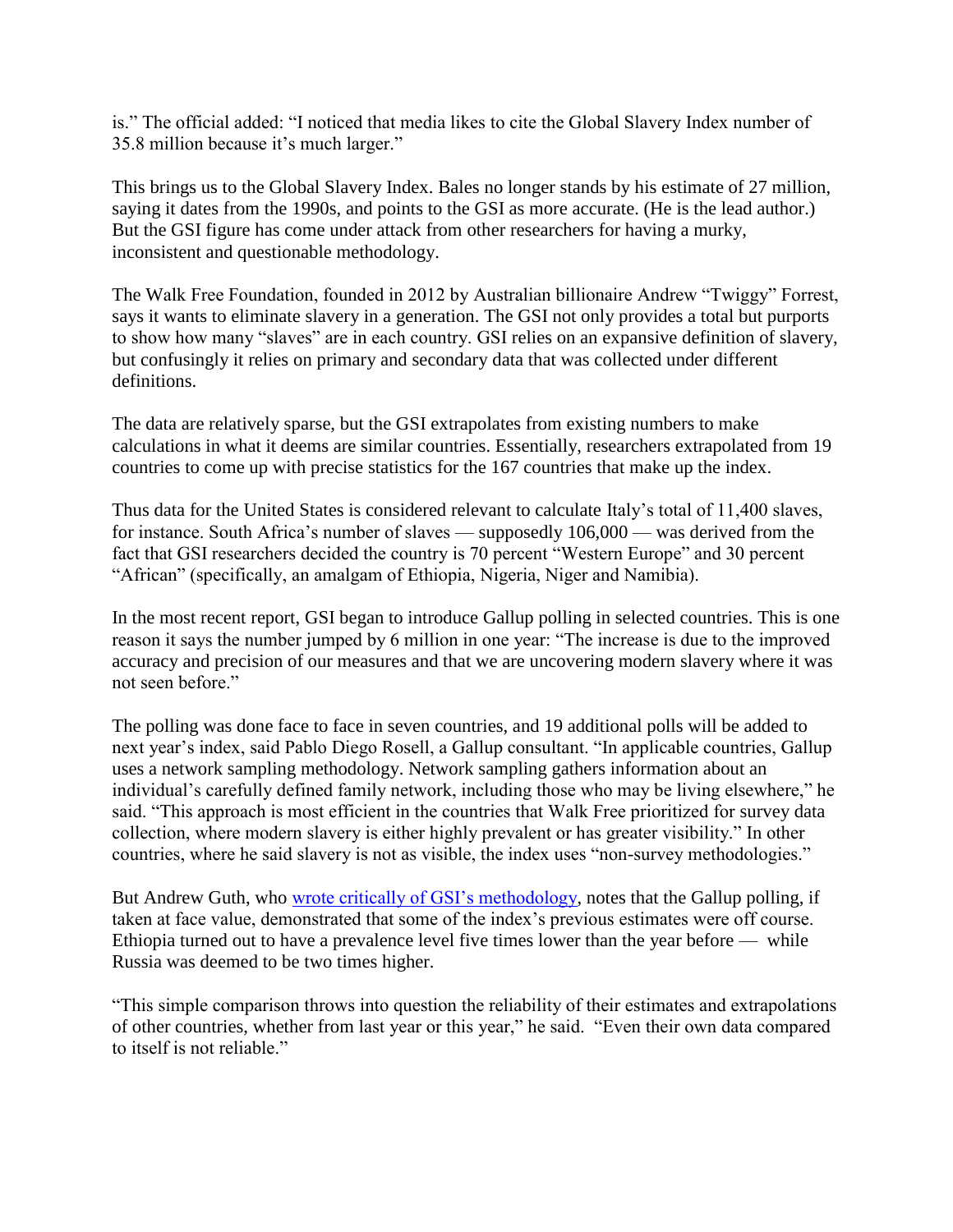is." The official added: "I noticed that media likes to cite the Global Slavery Index number of 35.8 million because it's much larger."

This brings us to the Global Slavery Index. Bales no longer stands by his estimate of 27 million, saying it dates from the 1990s, and points to the GSI as more accurate. (He is the lead author.) But the GSI figure has come under attack from other researchers for having a murky, inconsistent and questionable methodology.

The Walk Free Foundation, founded in 2012 by Australian billionaire Andrew "Twiggy" Forrest, says it wants to eliminate slavery in a generation. The GSI not only provides a total but purports to show how many "slaves" are in each country. GSI relies on an expansive definition of slavery, but confusingly it relies on primary and secondary data that was collected under different definitions.

The data are relatively sparse, but the GSI extrapolates from existing numbers to make calculations in what it deems are similar countries. Essentially, researchers extrapolated from 19 countries to come up with precise statistics for the 167 countries that make up the index.

Thus data for the United States is considered relevant to calculate Italy's total of 11,400 slaves, for instance. South Africa's number of slaves — supposedly 106,000 — was derived from the fact that GSI researchers decided the country is 70 percent "Western Europe" and 30 percent "African" (specifically, an amalgam of Ethiopia, Nigeria, Niger and Namibia).

In the most recent report, GSI began to introduce Gallup polling in selected countries. This is one reason it says the number jumped by 6 million in one year: "The increase is due to the improved accuracy and precision of our measures and that we are uncovering modern slavery where it was not seen before."

The polling was done face to face in seven countries, and 19 additional polls will be added to next year's index, said Pablo Diego Rosell, a Gallup consultant. "In applicable countries, Gallup uses a network sampling methodology. Network sampling gathers information about an individual's carefully defined family network, including those who may be living elsewhere," he said. "This approach is most efficient in the countries that Walk Free prioritized for survey data collection, where modern slavery is either highly prevalent or has greater visibility." In other countries, where he said slavery is not as visible, the index uses "non-survey methodologies."

But Andrew Guth, who [wrote critically of GSI's methodology,](http://traccc.gmu.edu/wp-content/uploads/2014/11/Methodology-in-Trafficking.pdf) notes that the Gallup polling, if taken at face value, demonstrated that some of the index's previous estimates were off course. Ethiopia turned out to have a prevalence level five times lower than the year before — while Russia was deemed to be two times higher.

"This simple comparison throws into question the reliability of their estimates and extrapolations of other countries, whether from last year or this year," he said. "Even their own data compared to itself is not reliable."